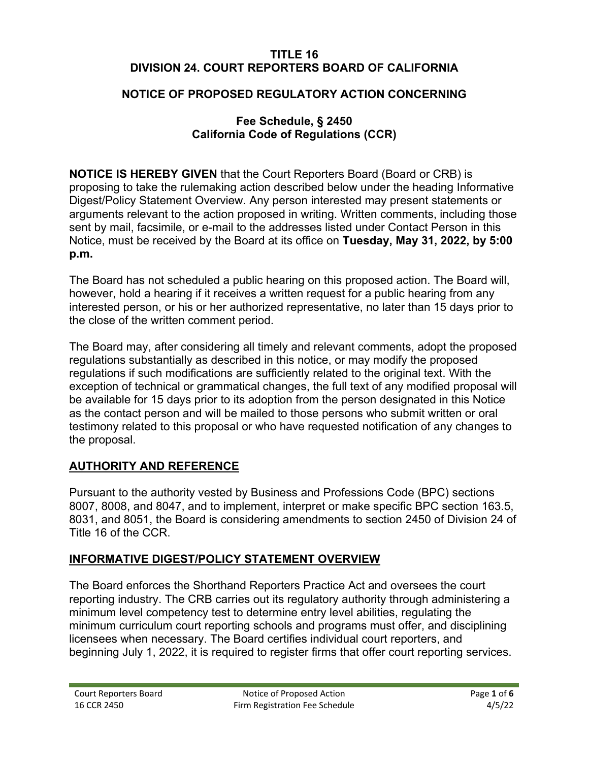#### **TITLE 16 DIVISION 24. COURT REPORTERS BOARD OF CALIFORNIA**

#### **NOTICE OF PROPOSED REGULATORY ACTION CONCERNING**

#### **California Code of Regulations (CCR) Fee Schedule, § 2450**

 **NOTICE IS HEREBY GIVEN** that the Court Reporters Board (Board or CRB) is **p.m.** proposing to take the rulemaking action described below under the heading Informative Digest/Policy Statement Overview. Any person interested may present statements or arguments relevant to the action proposed in writing. Written comments, including those sent by mail, facsimile, or e-mail to the addresses listed under Contact Person in this Notice, must be received by the Board at its office on **Tuesday, May 31, 2022, by 5:00** 

 the close of the written comment period. The Board has not scheduled a public hearing on this proposed action. The Board will, however, hold a hearing if it receives a written request for a public hearing from any interested person, or his or her authorized representative, no later than 15 days prior to

The Board may, after considering all timely and relevant comments, adopt the proposed regulations substantially as described in this notice, or may modify the proposed regulations if such modifications are sufficiently related to the original text. With the exception of technical or grammatical changes, the full text of any modified proposal will be available for 15 days prior to its adoption from the person designated in this Notice as the contact person and will be mailed to those persons who submit written or oral testimony related to this proposal or who have requested notification of any changes to the proposal.

### **AUTHORITY AND REFERENCE**

 Pursuant to the authority vested by Business and Professions Code (BPC) sections Title 16 of the CCR. 8007, 8008, and 8047, and to implement, interpret or make specific BPC section 163.5, 8031, and 8051, the Board is considering amendments to section 2450 of Division 24 of

### **INFORMATIVE DIGEST/POLICY STATEMENT OVERVIEW**

The Board enforces the Shorthand Reporters Practice Act and oversees the court reporting industry. The CRB carries out its regulatory authority through administering a minimum level competency test to determine entry level abilities, regulating the minimum curriculum court reporting schools and programs must offer, and disciplining licensees when necessary. The Board certifies individual court reporters, and beginning July 1, 2022, it is required to register firms that offer court reporting services.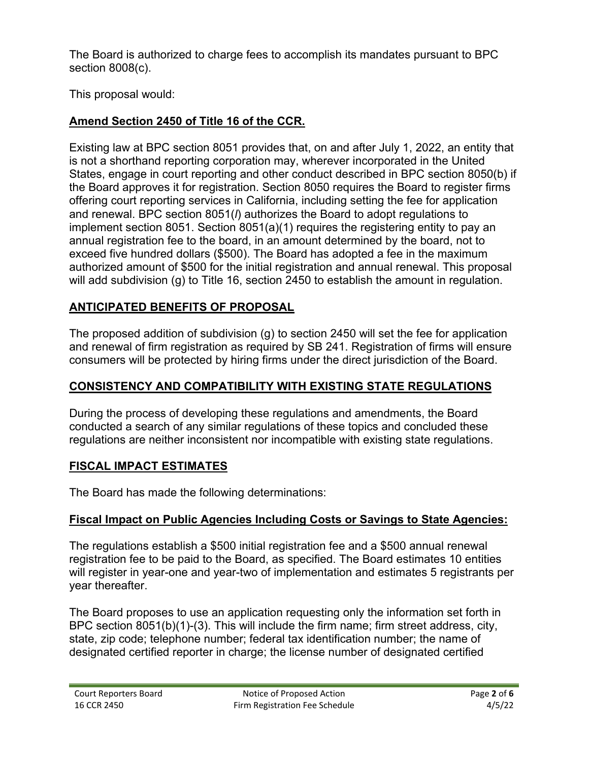The Board is authorized to charge fees to accomplish its mandates pursuant to BPC section 8008(c).

This proposal would:

## **Amend Section 2450 of Title 16 of the CCR.**

 the Board approves it for registration. Section 8050 requires the Board to register firms Existing law at BPC section 8051 provides that, on and after July 1, 2022, an entity that is not a shorthand reporting corporation may, wherever incorporated in the United States, engage in court reporting and other conduct described in BPC section 8050(b) if offering court reporting services in California, including setting the fee for application and renewal. BPC section 8051(*l*) authorizes the Board to adopt regulations to implement section 8051. Section 8051(a)(1) requires the registering entity to pay an annual registration fee to the board, in an amount determined by the board, not to exceed five hundred dollars (\$500). The Board has adopted a fee in the maximum authorized amount of \$500 for the initial registration and annual renewal. This proposal will add subdivision (g) to Title 16, section 2450 to establish the amount in regulation.

## **ANTICIPATED BENEFITS OF PROPOSAL**

The proposed addition of subdivision (g) to section 2450 will set the fee for application and renewal of firm registration as required by SB 241. Registration of firms will ensure consumers will be protected by hiring firms under the direct jurisdiction of the Board.

## **CONSISTENCY AND COMPATIBILITY WITH EXISTING STATE REGULATIONS**

During the process of developing these regulations and amendments, the Board conducted a search of any similar regulations of these topics and concluded these regulations are neither inconsistent nor incompatible with existing state regulations.

## **FISCAL IMPACT ESTIMATES**

The Board has made the following determinations:

# **Fiscal Impact on Public Agencies Including Costs or Savings to State Agencies:**

The regulations establish a \$500 initial registration fee and a \$500 annual renewal registration fee to be paid to the Board, as specified. The Board estimates 10 entities will register in year-one and year-two of implementation and estimates 5 registrants per year thereafter.

The Board proposes to use an application requesting only the information set forth in BPC section 8051(b)(1)-(3). This will include the firm name; firm street address, city, state, zip code; telephone number; federal tax identification number; the name of designated certified reporter in charge; the license number of designated certified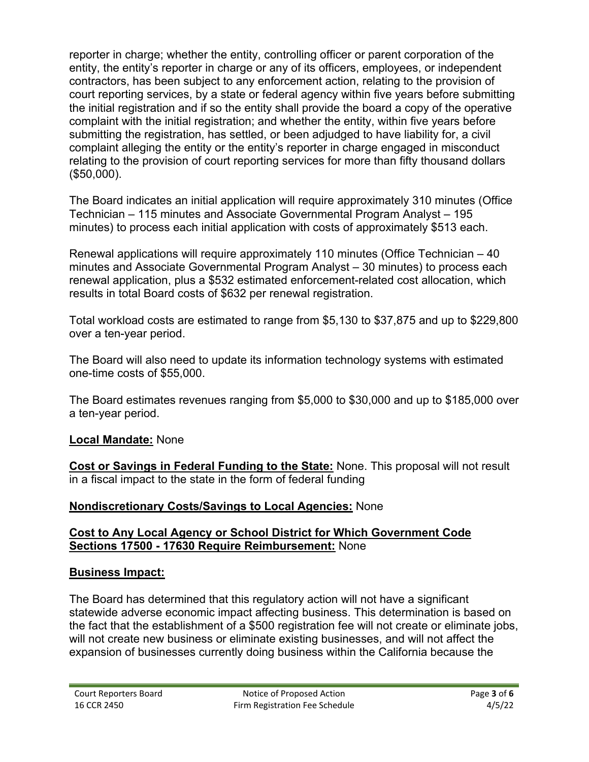reporter in charge; whether the entity, controlling officer or parent corporation of the entity, the entity's reporter in charge or any of its officers, employees, or independent contractors, has been subject to any enforcement action, relating to the provision of court reporting services, by a state or federal agency within five years before submitting the initial registration and if so the entity shall provide the board a copy of the operative complaint with the initial registration; and whether the entity, within five years before submitting the registration, has settled, or been adjudged to have liability for, a civil complaint alleging the entity or the entity's reporter in charge engaged in misconduct relating to the provision of court reporting services for more than fifty thousand dollars (\$50,000).

The Board indicates an initial application will require approximately 310 minutes (Office Technician – 115 minutes and Associate Governmental Program Analyst – 195 minutes) to process each initial application with costs of approximately \$513 each.

Renewal applications will require approximately 110 minutes (Office Technician – 40 minutes and Associate Governmental Program Analyst – 30 minutes) to process each renewal application, plus a \$532 estimated enforcement-related cost allocation, which results in total Board costs of \$632 per renewal registration.

Total workload costs are estimated to range from \$5,130 to \$37,875 and up to \$229,800 over a ten-year period.

The Board will also need to update its information technology systems with estimated one-time costs of \$55,000.

The Board estimates revenues ranging from \$5,000 to \$30,000 and up to \$185,000 over a ten-year period.

### **Local Mandate:** None

 in a fiscal impact to the state in the form of federal funding **Cost or Savings in Federal Funding to the State:** None. This proposal will not result

### **Nondiscretionary Costs/Savings to Local Agencies:** None

#### **Sections 17500 - 17630 Require Reimbursement:** None **Cost to Any Local Agency or School District for Which Government Code**

#### **Business Impact:**

The Board has determined that this regulatory action will not have a significant statewide adverse economic impact affecting business. This determination is based on the fact that the establishment of a \$500 registration fee will not create or eliminate jobs, will not create new business or eliminate existing businesses, and will not affect the expansion of businesses currently doing business within the California because the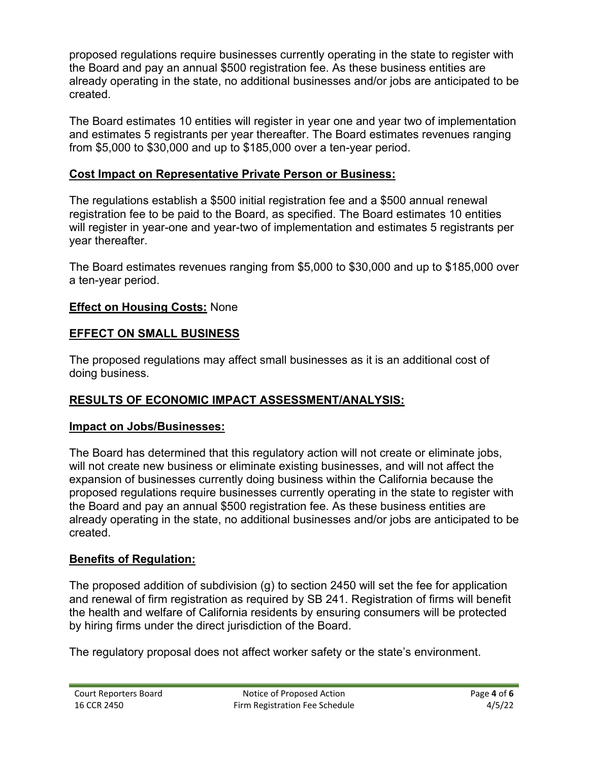created proposed regulations require businesses currently operating in the state to register with the Board and pay an annual \$500 registration fee. As these business entities are already operating in the state, no additional businesses and/or jobs are anticipated to be

The Board estimates 10 entities will register in year one and year two of implementation and estimates 5 registrants per year thereafter. The Board estimates revenues ranging from \$5,000 to \$30,000 and up to \$185,000 over a ten-year period.

## **Cost Impact on Representative Private Person or Business:**

The regulations establish a \$500 initial registration fee and a \$500 annual renewal registration fee to be paid to the Board, as specified. The Board estimates 10 entities will register in year-one and year-two of implementation and estimates 5 registrants per year thereafter.

The Board estimates revenues ranging from \$5,000 to \$30,000 and up to \$185,000 over a ten-year period.

### **Effect on Housing Costs:** None

### **EFFECT ON SMALL BUSINESS**

The proposed regulations may affect small businesses as it is an additional cost of doing business.

## **RESULTS OF ECONOMIC IMPACT ASSESSMENT/ANALYSIS:**

### **Impact on Jobs/Businesses:**

 created. The Board has determined that this regulatory action will not create or eliminate jobs, will not create new business or eliminate existing businesses, and will not affect the expansion of businesses currently doing business within the California because the proposed regulations require businesses currently operating in the state to register with the Board and pay an annual \$500 registration fee. As these business entities are already operating in the state, no additional businesses and/or jobs are anticipated to be

## **Benefits of Regulation:**

The proposed addition of subdivision (g) to section 2450 will set the fee for application and renewal of firm registration as required by SB 241. Registration of firms will benefit the health and welfare of California residents by ensuring consumers will be protected by hiring firms under the direct jurisdiction of the Board.

The regulatory proposal does not affect worker safety or the state's environment.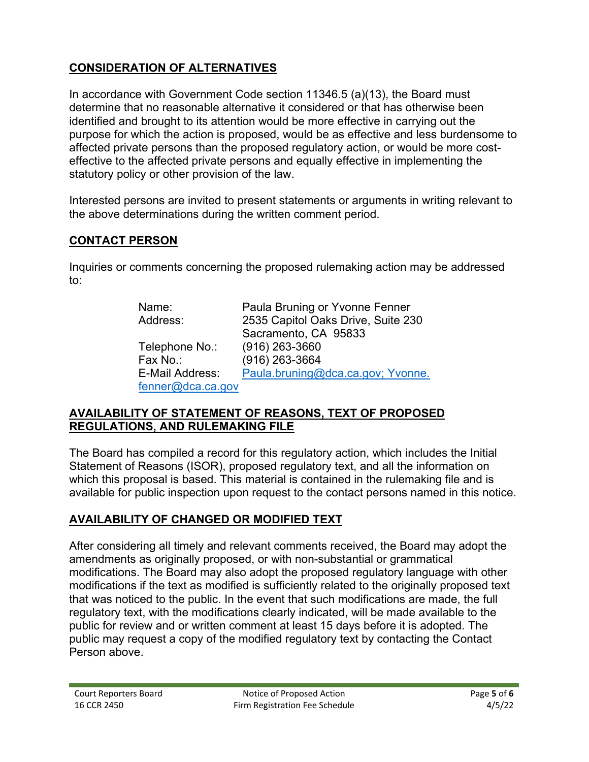# **CONSIDERATION OF ALTERNATIVES**

statutory policy or other provision of the law. In accordance with Government Code section 11346.5 (a)(13), the Board must determine that no reasonable alternative it considered or that has otherwise been identified and brought to its attention would be more effective in carrying out the purpose for which the action is proposed, would be as effective and less burdensome to affected private persons than the proposed regulatory action, or would be more costeffective to the affected private persons and equally effective in implementing the

statutory policy or other provision of the law.<br>Interested persons are invited to present statements or arguments in writing relevant to the above determinations during the written comment period.

## **CONTACT PERSON**

Inquiries or comments concerning the proposed rulemaking action may be addressed to:

| Name:             | Paula Bruning or Yvonne Fenner     |
|-------------------|------------------------------------|
| Address:          | 2535 Capitol Oaks Drive, Suite 230 |
|                   | Sacramento, CA 95833               |
| Telephone No.:    | $(916)$ 263-3660                   |
| Fax No.:          | $(916)$ 263-3664                   |
| E-Mail Address:   | Paula.bruning@dca.ca.gov; Yvonne.  |
| fenner@dca.ca.gov |                                    |

#### **AVAILABILITY OF STATEMENT OF REASONS, TEXT OF PROPOSED REGULATIONS, AND RULEMAKING FILE**

 which this proposal is based. This material is contained in the rulemaking file and is The Board has compiled a record for this regulatory action, which includes the Initial Statement of Reasons (ISOR), proposed regulatory text, and all the information on available for public inspection upon request to the contact persons named in this notice.

## **AVAILABILITY OF CHANGED OR MODIFIED TEXT**

After considering all timely and relevant comments received, the Board may adopt the amendments as originally proposed, or with non-substantial or grammatical modifications. The Board may also adopt the proposed regulatory language with other modifications if the text as modified is sufficiently related to the originally proposed text that was noticed to the public. In the event that such modifications are made, the full regulatory text, with the modifications clearly indicated, will be made available to the public for review and or written comment at least 15 days before it is adopted. The public may request a copy of the modified regulatory text by contacting the Contact Person above.